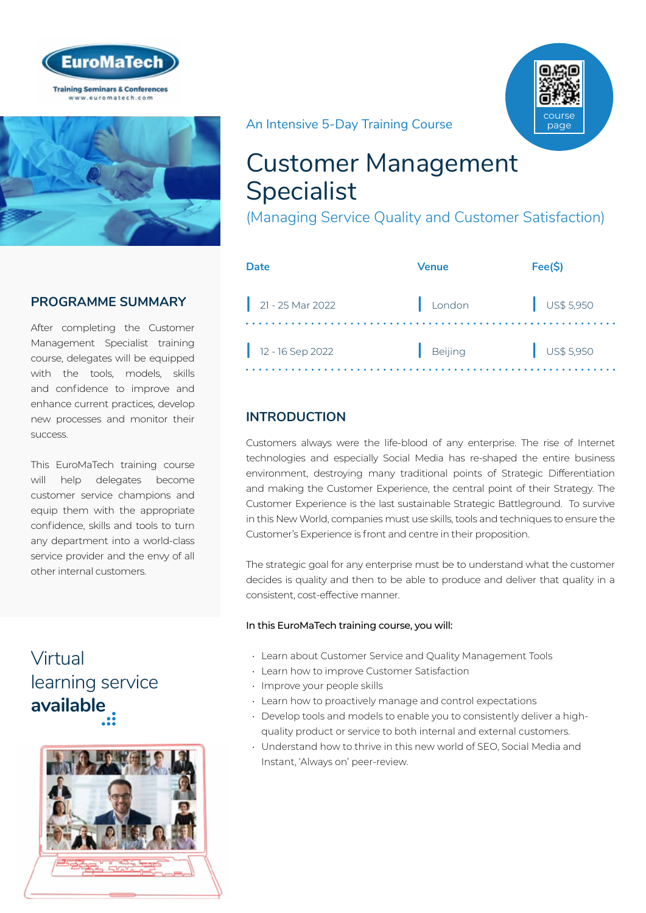



### **PROGRAMME SUMMARY**

After completing the Customer Management Specialist training course, delegates will be equipped with the tools, models, skills and confidence to improve and enhance current practices, develop new processes and monitor their success.

This EuroMaTech training course will help delegates become customer service champions and equip them with the appropriate confidence, skills and tools to turn any department into a world-class service provider and the envy of all other internal customers.

# Virtual [learning service](https://www.euromatech.com/seminars/customer-management-specialist/)  **available**



An Intensive 5-Day Training Course

# Customer Management **Specialist**

(Managing Service Quality and Customer Satisfaction)

| <b>Date</b>        | Venue   | Fee(S)               |
|--------------------|---------|----------------------|
| 21 - 25 Mar 2022   | London  | $\bigcup$ US\$ 5,950 |
| $12 - 16$ Sep 2022 | Beijing | $\bigcup$ US\$ 5,950 |

### **INTRODUCTION**

Customers always were the life-blood of any enterprise. The rise of Internet technologies and especially Social Media has re-shaped the entire business environment, destroying many traditional points of Strategic Differentiation and making the Customer Experience, the central point of their Strategy. The Customer Experience is the last sustainable Strategic Battleground. To survive in this New World, companies must use skills, tools and techniques to ensure the Customer's Experience is front and centre in their proposition.

The strategic goal for any enterprise must be to understand what the customer decides is quality and then to be able to produce and deliver that quality in a consistent, cost-effective manner.

#### In this EuroMaTech training course, you will:

- Learn about Customer Service and Quality Management Tools
- Learn how to improve Customer Satisfaction
- Improve your people skills
- Learn how to proactively manage and control expectations
- Develop tools and models to enable you to consistently deliver a highquality product or service to both internal and external customers.
- Understand how to thrive in this new world of SEO, Social Media and Instant, 'Always on' peer-review.

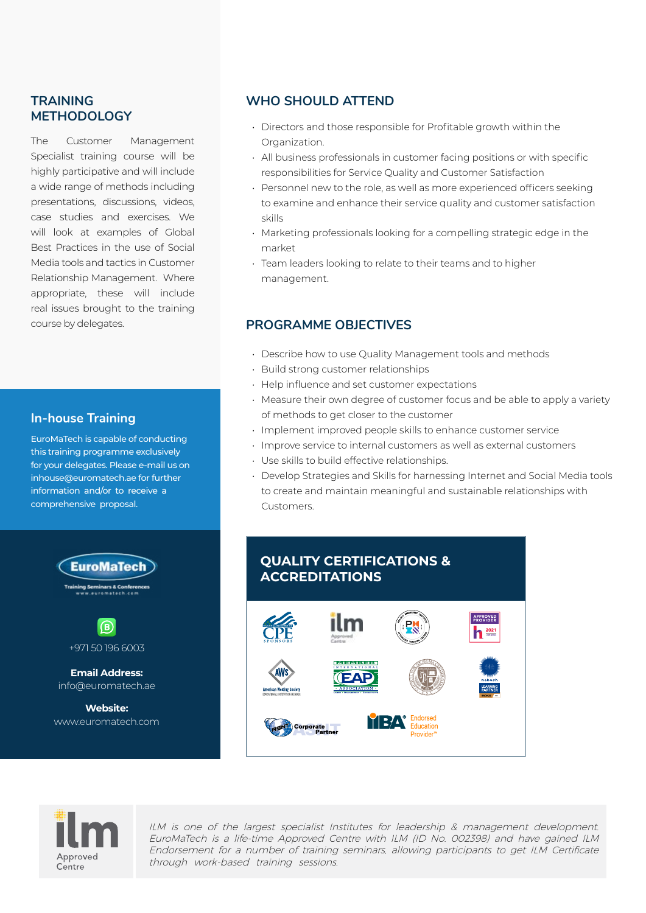#### **TRAINING METHODOLOGY**

The Customer Management Specialist training course will be highly participative and will include a wide range of methods including presentations, discussions, videos, case studies and exercises. We will look at examples of Global Best Practices in the use of Social Media tools and tactics in Customer Relationship Management. Where appropriate, these will include real issues brought to the training course by delegates.

#### **In-house Training**

EuroMaTech is capable of conducting this training programme exclusively for your delegates. Please e-mail us on inhouse@euromatech.ae for further information and/or to receive a comprehensive proposal.



www.euromatech.com

### **WHO SHOULD ATTEND**

- Directors and those responsible for Profitable growth within the Organization.
- All business professionals in customer facing positions or with specific responsibilities for Service Quality and Customer Satisfaction
- Personnel new to the role, as well as more experienced officers seeking to examine and enhance their service quality and customer satisfaction skills
- Marketing professionals looking for a compelling strategic edge in the market
- Team leaders looking to relate to their teams and to higher management.

### **PROGRAMME OBJECTIVES**

- Describe how to use Quality Management tools and methods
- Build strong customer relationships
- Help influence and set customer expectations
- Measure their own degree of customer focus and be able to apply a variety of methods to get closer to the customer
- Implement improved people skills to enhance customer service
- Improve service to internal customers as well as external customers
- Use skills to build effective relationships.
- Develop Strategies and Skills for harnessing Internet and Social Media tools to create and maintain meaningful and sustainable relationships with Customers.





ILM is one of the largest specialist Institutes for leadership & management development. EuroMaTech is a life-time Approved Centre with ILM (ID No. 002398) and have gained ILM Endorsement for a number of training seminars, allowing participants to get ILM Certificate through work-based training sessions.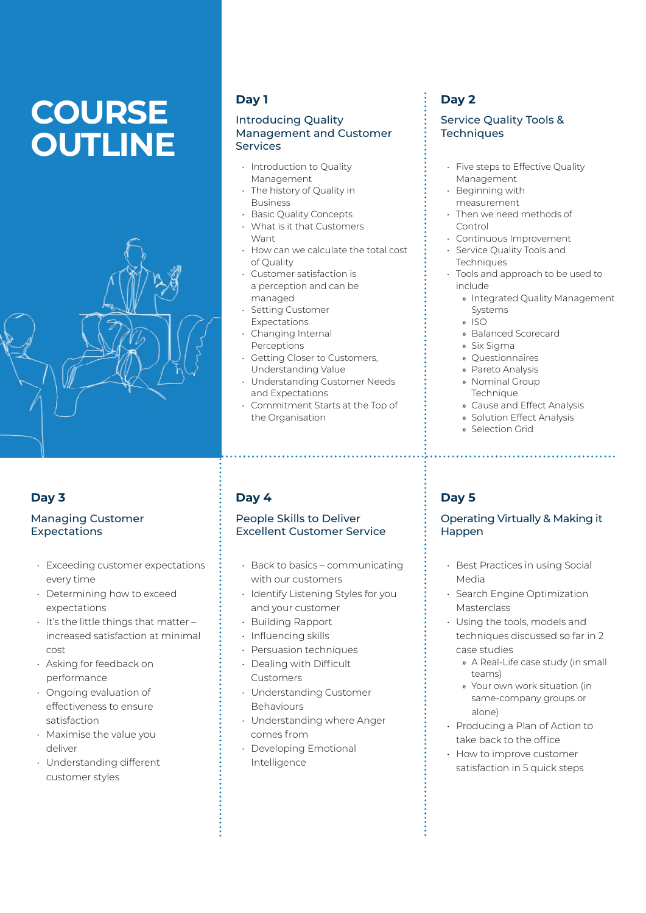# **COURSE OUTLINE**



### **Day 3**

#### Managing Customer Expectations

- Exceeding customer expectations every time
- Determining how to exceed expectations
- It's the little things that matter increased satisfaction at minimal cost
- Asking for feedback on performance
- Ongoing evaluation of effectiveness to ensure satisfaction
- Maximise the value you deliver
- Understanding different customer styles

### **Day 1**

#### Introducing Quality Management and Customer **Services**

- Introduction to Quality Management
- The history of Quality in Business
- Basic Quality Concepts
- What is it that Customers Want
- How can we calculate the total cost of Quality
- Customer satisfaction is a perception and can be managed
- Setting Customer Expectations
- Changing Internal Perceptions
- Getting Closer to Customers, Understanding Value
- Understanding Customer Needs and Expectations
- Commitment Starts at the Top of the Organisation

### **Day 4**

#### People Skills to Deliver Excellent Customer Service

- Back to basics communicating with our customers
- Identify Listening Styles for you and your customer
- Building Rapport
- Influencing skills
- Persuasion techniques
- Dealing with Difficult Customers
- Understanding Customer Behaviours
- Understanding where Anger comes from
- Developing Emotional Intelligence

### **Day 2**

#### Service Quality Tools & **Techniques**

- Five steps to Effective Quality Management
- Beginning with measurement
- Then we need methods of Control
- Continuous Improvement
- Service Quality Tools and **Techniques**
- Tools and approach to be used to include
	- » Integrated Quality Management Systems
	- » ISO
	- » Balanced Scorecard
	- » Six Sigma
	- » Questionnaires
	- » Pareto Analysis
	- » Nominal Group **Technique**
	- » Cause and Effect Analysis

- » Solution Effect Analysis
- » Selection Grid

### **Day 5**

#### Operating Virtually & Making it **Happen**

- Best Practices in using Social Media
- Search Engine Optimization Masterclass
- Using the tools, models and techniques discussed so far in 2 case studies
	- » A Real-Life case study (in small teams)
	- » Your own work situation (in same-company groups or alone)
- Producing a Plan of Action to take back to the office
- How to improve customer satisfaction in 5 quick steps